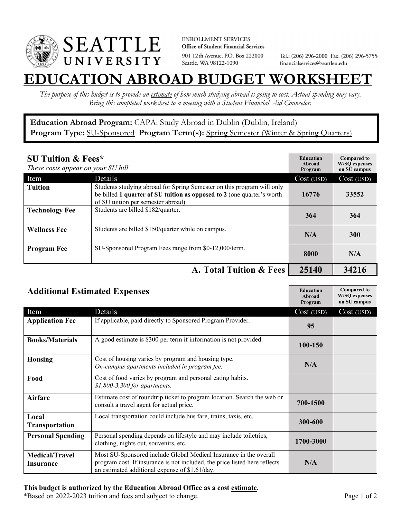

**ENROLLMENT SERVICES** Office of Student Financial Services 901 12th Avenue, P.O. Box 222000 Seattle, WA 98122-1090

Tel.: (206) 296-2000 Fax: (206) 296-5755 financialservices@seattleu.edu

## **EATION ABROAD BUDGET WORKSHEE**

*The purpose of this budget is to provide an estimate of how much studying abroad is going to cost. Actual spending may vary. Bring this completed worksheet to a meeting with a Student Financial Aid Counselor.* 

## **Education Abroad Program:** CAPA: Study Abroad in Dublin (Dublin, Ireland) Program Type: **SU-Sponsored** Program Term(s): **Spring Semester** (Winter & Spring Quarters)

| <b>SU Tuition &amp; Fees*</b><br>These costs appear on your SU bill. |                                                                                                                                                                                         | <b>Education</b><br>Abroad<br>Program | <b>Compared to</b><br><b>W/SO</b> expenses<br>on SU campus |
|----------------------------------------------------------------------|-----------------------------------------------------------------------------------------------------------------------------------------------------------------------------------------|---------------------------------------|------------------------------------------------------------|
| Item                                                                 | Details                                                                                                                                                                                 | Cost (USD)                            | Cost (USD)                                                 |
| <b>Tuition</b>                                                       | Students studying abroad for Spring Semester on this program will only<br>be billed 1 quarter of SU tuition as opposed to 2 (one quarter's worth<br>of SU tuition per semester abroad). | 16776                                 | 33552                                                      |
| <b>Technology Fee</b>                                                | Students are billed \$182/quarter.                                                                                                                                                      | 364                                   | 364                                                        |
| <b>Wellness Fee</b>                                                  | Students are billed \$150/quarter while on campus.                                                                                                                                      | N/A                                   | <b>300</b>                                                 |
| <b>Program Fee</b>                                                   | SU-Sponsored Program Fees range from \$0-12,000/term.                                                                                                                                   | 8000                                  | N/A                                                        |
|                                                                      | A. Total Tuition & Fees                                                                                                                                                                 | 25140                                 | 34216                                                      |

| <b>Additional Estimated Expenses</b> |                                                                                                                                                                                                   | <b>Education</b><br>Abroad<br>Program | <b>Compared to</b><br><b>W/SQ</b> expenses<br>on SU campus |
|--------------------------------------|---------------------------------------------------------------------------------------------------------------------------------------------------------------------------------------------------|---------------------------------------|------------------------------------------------------------|
| Item                                 | Details                                                                                                                                                                                           | Cost (USD)                            | Cost (USD)                                                 |
| <b>Application Fee</b>               | If applicable, paid directly to Sponsored Program Provider.                                                                                                                                       | 95                                    |                                                            |
| <b>Books/Materials</b>               | A good estimate is \$300 per term if information is not provided.                                                                                                                                 | 100-150                               |                                                            |
| <b>Housing</b>                       | Cost of housing varies by program and housing type.<br>On-campus apartments included in program fee.                                                                                              | N/A                                   |                                                            |
| Food                                 | Cost of food varies by program and personal eating habits.<br>\$1,800-3,300 for apartments.                                                                                                       |                                       |                                                            |
| <b>Airfare</b>                       | Estimate cost of roundtrip ticket to program location. Search the web or<br>consult a travel agent for actual price.                                                                              | 700-1500                              |                                                            |
| Local<br><b>Transportation</b>       | Local transportation could include bus fare, trains, taxis, etc.                                                                                                                                  | 300-600                               |                                                            |
| <b>Personal Spending</b>             | Personal spending depends on lifestyle and may include toiletries,<br>clothing, nights out, souvenirs, etc.                                                                                       | 1700-3000                             |                                                            |
| <b>Medical/Travel</b><br>Insurance   | Most SU-Sponsored include Global Medical Insurance in the overall<br>program cost. If insurance is not included, the price listed here reflects<br>an estimated additional expense of \$1.61/day. | N/A                                   |                                                            |

## **This budget is authorized by the Education Abroad Office as a cost estimate.**

\*Based on 2022-2023 tuition and fees and subject to change. Page 1 of 2